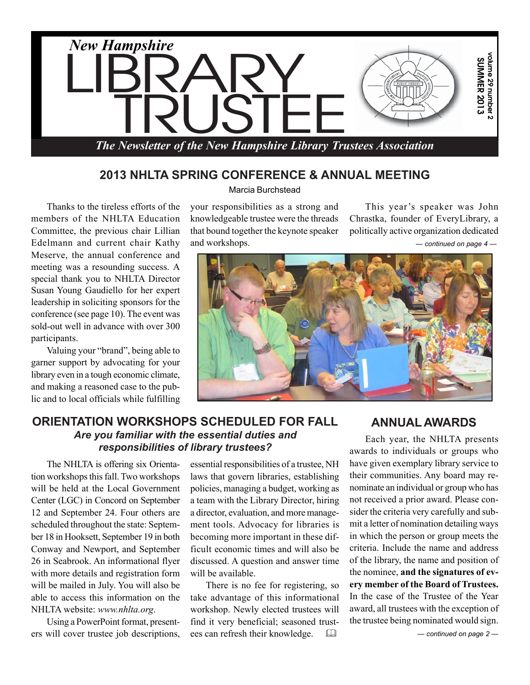

## **2013 NHLTA SPRING CONFERENCE & ANNUAL MEETING**

Thanks to the tireless efforts of the members of the NHLTA Education Committee, the previous chair Lillian Edelmann and current chair Kathy Meserve, the annual conference and meeting was a resounding success. A special thank you to NHLTA Director Susan Young Gaudiello for her expert leadership in soliciting sponsors for the conference (see page 10). The event was sold-out well in advance with over 300 participants.

Valuing your "brand", being able to garner support by advocating for your library even in a tough economic climate, and making a reasoned case to the public and to local officials while fulfilling

Marcia Burchstead

your responsibilities as a strong and knowledgeable trustee were the threads that bound together the keynote speaker and workshops.

This year's speaker was John Chrastka, founder of EveryLibrary, a politically active organization dedicated

*— continued on page 4 —*



## **ORIENTATION WORKSHOPS SCHEDULED FOR FALL** *Are you familiar with the essential duties and responsibilities of library trustees?*

The NHLTA is offering six Orientation workshops this fall. Two workshops will be held at the Local Government Center (LGC) in Concord on September 12 and September 24. Four others are scheduled throughout the state: September 18 in Hooksett, September 19 in both Conway and Newport, and September 26 in Seabrook. An informational flyer with more details and registration form will be mailed in July. You will also be able to access this information on the NHLTA website: *www.nhlta.org*.

Using a PowerPoint format, presenters will cover trustee job descriptions, essential responsibilities of a trustee, NH laws that govern libraries, establishing policies, managing a budget, working as a team with the Library Director, hiring a director, evaluation, and more management tools. Advocacy for libraries is becoming more important in these difficult economic times and will also be discussed. A question and answer time will be available.

There is no fee for registering, so take advantage of this informational workshop. Newly elected trustees will find it very beneficial; seasoned trustees can refresh their knowledge. 

## **ANNUAL AWARDS**

ider the criteria very carefully and sub-Each year, the NHLTA presents awards to individuals or groups who have given exemplary library service to their communities. Any board may renominate an individual or group who has not received a prior award. Please conmit a letter of nomination detailing ways in which the person or group meets the criteria. Include the name and address of the library, the name and position of the nominee, **and the signatures of every member of the Board of Trustees.** In the case of the Trustee of the Year award, all trustees with the exception of the trustee being nominated would sign.

*— continued on page 2 —*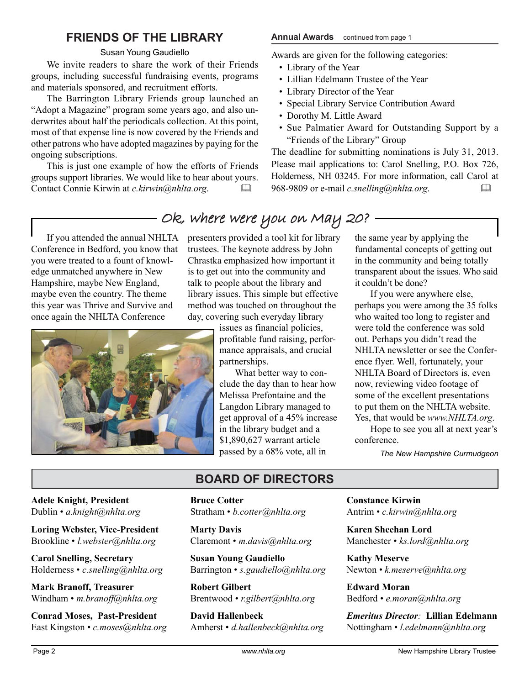## **FRIENDS OF THE LIBRARY**

#### Susan Young Gaudiello

We invite readers to share the work of their Friends groups, including successful fundraising events, programs and materials sponsored, and recruitment efforts.

The Barrington Library Friends group launched an "Adopt a Magazine" program some years ago, and also underwrites about half the periodicals collection. At this point, most of that expense line is now covered by the Friends and other patrons who have adopted magazines by paying for the ongoing subscriptions.

This is just one example of how the efforts of Friends groups support libraries. We would like to hear about yours. Contact Connie Kirwin at *c.kirwin@nhlta.org*. 

#### **Annual Awards** continued from page 1

Awards are given for the following categories:

- Library of the Year
- Lillian Edelmann Trustee of the Year
- Library Director of the Year
- Special Library Service Contribution Award
- Dorothy M. Little Award
- Sue Palmatier Award for Outstanding Support by a "Friends of the Library" Group

The deadline for submitting nominations is July 31, 2013. Please mail applications to: Carol Snelling, P.O. Box 726, Holderness, NH 03245. For more information, call Carol at 968-9809 or e-mail *c.snelling@nhlta.org*. 

If you attended the annual NHLTA Conference in Bedford, you know that you were treated to a fount of knowledge unmatched anywhere in New Hampshire, maybe New England, maybe even the country. The theme this year was Thrive and Survive and once again the NHLTA Conference



## - Ok, where were you on May 20? -

presenters provided a tool kit for library trustees. The keynote address by John Chrastka emphasized how important it is to get out into the community and talk to people about the library and library issues. This simple but effective method was touched on throughout the day, covering such everyday library

> issues as financial policies, profitable fund raising, performance appraisals, and crucial partnerships.

What better way to conclude the day than to hear how Melissa Prefontaine and the Langdon Library managed to get approval of a 45% increase in the library budget and a \$1,890,627 warrant article passed by a 68% vote, all in

the same year by applying the fundamental concepts of getting out in the community and being totally transparent about the issues. Who said it couldn't be done?

If you were anywhere else, perhaps you were among the 35 folks who waited too long to register and were told the conference was sold out. Perhaps you didn't read the NHLTA newsletter or see the Conference flyer. Well, fortunately, your NHLTA Board of Directors is, even now, reviewing video footage of some of the excellent presentations to put them on the NHLTA website. Yes, that would be *www.NHLTA.org*.

Hope to see you all at next year's conference.

*The New Hampshire Curmudgeon*

**Adele Knight, President** Dublin • *a.knight@nhlta.org*

**Loring Webster, Vice-President** Brookline • *l.webster@nhlta.org*

**Carol Snelling, Secretary** Holderness • *c.snelling@nhlta.org*

**Mark Branoff, Treasurer** Windham • *m.branoff@nhlta.org*

**Conrad Moses, Past-President** East Kingston • *c.moses@nhlta.org*

## **BOARD OF DIRECTORS**

**Bruce Cotter** Stratham • *b.cotter@nhlta.org*

**Marty Davis** Claremont • *m.davis@nhlta.org*

**Susan Young Gaudiello** Barrington • *s.gaudiello@nhlta.org*

**Robert Gilbert** Brentwood • *r.gilbert@nhlta.org*

**David Hallenbeck** Amherst • *d.hallenbeck@nhlta.org*

**Constance Kirwin** Antrim • *c.kirwin@nhlta.org*

**Karen Sheehan Lord** Manchester • *ks.lord@nhlta.org*

**Kathy Meserve** Newton • *k.meserve@nhlta.org*

**Edward Moran** Bedford • *e.moran@nhlta.org*

*Emeritus Director:* **Lillian Edelmann** Nottingham • *l.edelmann@nhlta.org*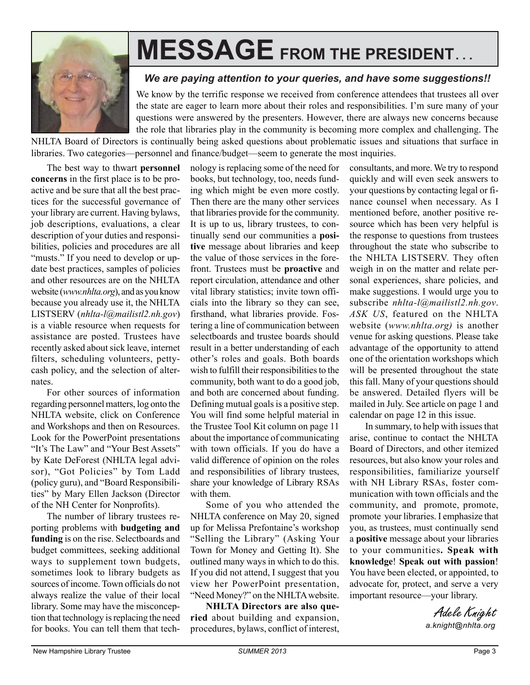

# **MESSAGE FROM THE PRESIDENT. . .**

### *We are paying attention to your queries, and have some suggestions!!*

We know by the terrific response we received from conference attendees that trustees all over the state are eager to learn more about their roles and responsibilities. I'm sure many of your questions were answered by the presenters. However, there are always new concerns because the role that libraries play in the community is becoming more complex and challenging. The

NHLTA Board of Directors is continually being asked questions about problematic issues and situations that surface in libraries. Two categories—personnel and finance/budget—seem to generate the most inquiries.

The best way to thwart **personnel concerns** in the first place is to be proactive and be sure that all the best practices for the successful governance of your library are current. Having bylaws, job descriptions, evaluations, a clear description of your duties and responsibilities, policies and procedures are all "musts." If you need to develop or update best practices, samples of policies and other resources are on the NHLTA website (*www.nhlta.org*), and as you know because you already use it, the NHLTA LISTSERV (*nhlta-l@mailistl2.nh.gov*) is a viable resource when requests for assistance are posted. Trustees have recently asked about sick leave, internet filters, scheduling volunteers, pettycash policy, and the selection of alternates.

For other sources of information regarding personnel matters, log onto the NHLTA website, click on Conference and Workshops and then on Resources. Look for the PowerPoint presentations "It's The Law" and "Your Best Assets" by Kate DeForest (NHLTA legal advisor), "Got Policies" by Tom Ladd (policy guru), and "Board Responsibilities" by Mary Ellen Jackson (Director of the NH Center for Nonprofits).

The number of library trustees reporting problems with **budgeting and funding** is on the rise. Selectboards and budget committees, seeking additional ways to supplement town budgets, sometimes look to library budgets as sources of income. Town officials do not always realize the value of their local library. Some may have the misconception that technology is replacing the need for books. You can tell them that technology is replacing some of the need for books, but technology, too, needs funding which might be even more costly. Then there are the many other services that libraries provide for the community. It is up to us, library trustees, to continually send our communities a **positive** message about libraries and keep the value of those services in the forefront. Trustees must be **proactive** and report circulation, attendance and other vital library statistics; invite town officials into the library so they can see, firsthand, what libraries provide. Fostering a line of communication between selectboards and trustee boards should result in a better understanding of each other's roles and goals. Both boards wish to fulfill their responsibilities to the community, both want to do a good job, and both are concerned about funding. Defining mutual goals is a positive step. You will find some helpful material in the Trustee Tool Kit column on page 11 about the importance of communicating with town officials. If you do have a valid difference of opinion on the roles and responsibilities of library trustees, share your knowledge of Library RSAs with them.

Some of you who attended the NHLTA conference on May 20, signed up for Melissa Prefontaine's workshop "Selling the Library" (Asking Your Town for Money and Getting It). She outlined many ways in which to do this. If you did not attend, I suggest that you view her PowerPoint presentation, "Need Money?" on the NHLTA website.

**NHLTA Directors are also queried** about building and expansion, procedures, bylaws, conflict of interest, consultants, and more. We try to respond quickly and will even seek answers to your questions by contacting legal or finance counsel when necessary. As I mentioned before, another positive resource which has been very helpful is the response to questions from trustees throughout the state who subscribe to the NHLTA LISTSERV. They often weigh in on the matter and relate personal experiences, share policies, and make suggestions. I would urge you to subscribe *nhlta-l@mailistl2.nh.gov*. *ASK US*, featured on the NHLTA website (*www.nhlta.org)* is another venue for asking questions. Please take advantage of the opportunity to attend one of the orientation workshops which will be presented throughout the state this fall. Many of your questions should be answered. Detailed flyers will be mailed in July. See article on page 1 and calendar on page 12 in this issue.

In summary, to help with issues that arise, continue to contact the NHLTA Board of Directors, and other itemized resources, but also know your roles and responsibilities, familiarize yourself with NH Library RSAs, foster communication with town officials and the community, and promote, promote, promote your libraries. I emphasize that you, as trustees, must continually send a **positive** message about your libraries to your communities**. Speak with knowledge**! **Speak out with passion**! You have been elected, or appointed, to advocate for, protect, and serve a very important resource—your library.

> Adele Knight *a.knight@nhlta.org*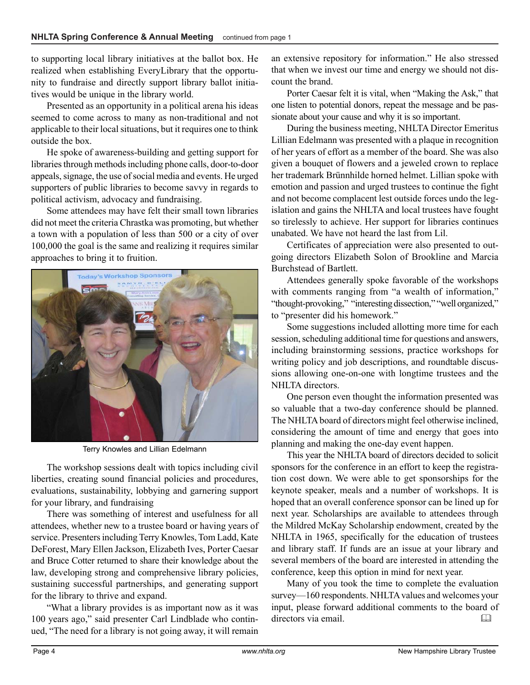to supporting local library initiatives at the ballot box. He realized when establishing EveryLibrary that the opportunity to fundraise and directly support library ballot initiatives would be unique in the library world.

Presented as an opportunity in a political arena his ideas seemed to come across to many as non-traditional and not applicable to their local situations, but it requires one to think outside the box.

He spoke of awareness-building and getting support for libraries through methods including phone calls, door-to-door appeals, signage, the use of social media and events. He urged supporters of public libraries to become savvy in regards to political activism, advocacy and fundraising.

Some attendees may have felt their small town libraries did not meet the criteria Chrastka was promoting, but whether a town with a population of less than 500 or a city of over 100,000 the goal is the same and realizing it requires similar approaches to bring it to fruition.



Terry Knowles and Lillian Edelmann

The workshop sessions dealt with topics including civil liberties, creating sound financial policies and procedures, evaluations, sustainability, lobbying and garnering support for your library, and fundraising

There was something of interest and usefulness for all attendees, whether new to a trustee board or having years of service. Presenters including Terry Knowles, Tom Ladd, Kate DeForest, Mary Ellen Jackson, Elizabeth Ives, Porter Caesar and Bruce Cotter returned to share their knowledge about the law, developing strong and comprehensive library policies, sustaining successful partnerships, and generating support for the library to thrive and expand.

"What a library provides is as important now as it was 100 years ago," said presenter Carl Lindblade who continued, "The need for a library is not going away, it will remain

an extensive repository for information." He also stressed that when we invest our time and energy we should not discount the brand.

Porter Caesar felt it is vital, when "Making the Ask," that one listen to potential donors, repeat the message and be passionate about your cause and why it is so important.

During the business meeting, NHLTA Director Emeritus Lillian Edelmann was presented with a plaque in recognition of her years of effort as a member of the board. She was also given a bouquet of flowers and a jeweled crown to replace her trademark Brünnhilde horned helmet. Lillian spoke with emotion and passion and urged trustees to continue the fight and not become complacent lest outside forces undo the legislation and gains the NHLTA and local trustees have fought so tirelessly to achieve. Her support for libraries continues unabated. We have not heard the last from Lil.

Certificates of appreciation were also presented to outgoing directors Elizabeth Solon of Brookline and Marcia Burchstead of Bartlett.

Attendees generally spoke favorable of the workshops with comments ranging from "a wealth of information," "thought-provoking," "interesting dissection," "well organized," to "presenter did his homework."

Some suggestions included allotting more time for each session, scheduling additional time for questions and answers, including brainstorming sessions, practice workshops for writing policy and job descriptions, and roundtable discussions allowing one-on-one with longtime trustees and the NHLTA directors.

One person even thought the information presented was so valuable that a two-day conference should be planned. The NHLTA board of directors might feel otherwise inclined, considering the amount of time and energy that goes into planning and making the one-day event happen.

This year the NHLTA board of directors decided to solicit sponsors for the conference in an effort to keep the registration cost down. We were able to get sponsorships for the keynote speaker, meals and a number of workshops. It is hoped that an overall conference sponsor can be lined up for next year. Scholarships are available to attendees through the Mildred McKay Scholarship endowment, created by the NHLTA in 1965, specifically for the education of trustees and library staff. If funds are an issue at your library and several members of the board are interested in attending the conference, keep this option in mind for next year.

Many of you took the time to complete the evaluation survey—160 respondents. NHLTA values and welcomes your input, please forward additional comments to the board of directors via email.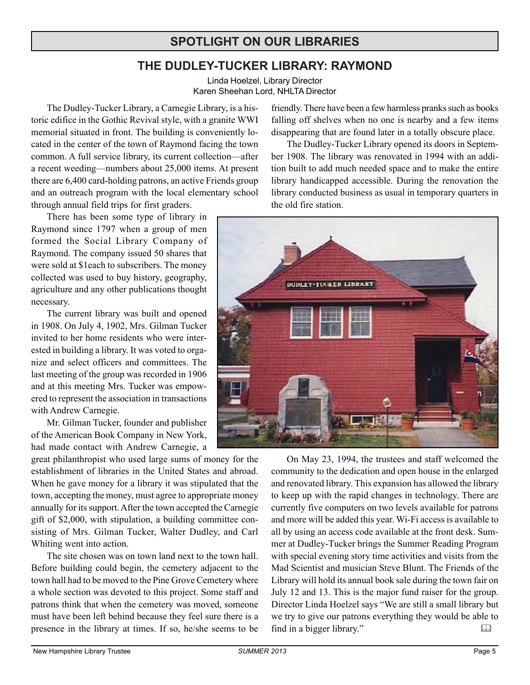## **SPOTLIGHT ON OUR LIBRARIES**

## **THE DUDLEY-TUCKER LIBRARY: RAYMOND**

Linda Hoelzel, Library Director Karen Sheehan Lord, NHLTA Director

The Dudley-Tucker Library, a Carnegie Library, is a historic edifice in the Gothic Revival style, with a granite WWI memorial situated in front. The building is conveniently located in the center of the town of Raymond facing the town common. A full service library, its current collection—after a recent weeding—numbers about 25,000 items. At present there are 6,400 card-holding patrons, an active Friends group and an outreach program with the local elementary school through annual field trips for first graders.

There has been some type of library in Raymond since 1797 when a group of men formed the Social Library Company of Raymond. The company issued 50 shares that were sold at \$1each to subscribers. The money collected was used to buy history, geography, agriculture and any other publications thought necessary.

The current library was built and opened in 1908. On July 4, 1902, Mrs. Gilman Tucker invited to her home residents who were interested in building a library. It was voted to organize and select officers and committees. The last meeting of the group was recorded in 1906 and at this meeting Mrs. Tucker was empowered to represent the association in transactions with Andrew Carnegie.

Mr. Gilman Tucker, founder and publisher of the American Book Company in New York, had made contact with Andrew Carnegie, a

great philanthropist who used large sums of money for the establishment of libraries in the United States and abroad. When he gave money for a library it was stipulated that the town, accepting the money, must agree to appropriate money annually for its support. After the town accepted the Carnegie gift of \$2,000, with stipulation, a building committee consisting of Mrs. Gilman Tucker, Walter Dudley, and Carl Whiting went into action.

The site chosen was on town land next to the town hall. Before building could begin, the cemetery adjacent to the town hall had to be moved to the Pine Grove Cemetery where a whole section was devoted to this project. Some staff and patrons think that when the cemetery was moved, someone must have been left behind because they feel sure there is a presence in the library at times. If so, he/she seems to be friendly. There have been a few harmless pranks such as books falling off shelves when no one is nearby and a few items disappearing that are found later in a totally obscure place.

The Dudley-Tucker Library opened its doors in September 1908. The library was renovated in 1994 with an addition built to add much needed space and to make the entire library handicapped accessible. During the renovation the library conducted business as usual in temporary quarters in the old fire station.



On May 23, 1994, the trustees and staff welcomed the community to the dedication and open house in the enlarged and renovated library. This expansion has allowed the library to keep up with the rapid changes in technology. There are currently five computers on two levels available for patrons and more will be added this year. Wi-Fi access is available to all by using an access code available at the front desk. Summer at Dudley-Tucker brings the Summer Reading Program with special evening story time activities and visits from the Mad Scientist and musician Steve Blunt. The Friends of the Library will hold its annual book sale during the town fair on July 12 and 13. This is the major fund raiser for the group. Director Linda Hoelzel says "We are still a small library but we try to give our patrons everything they would be able to find in a bigger library."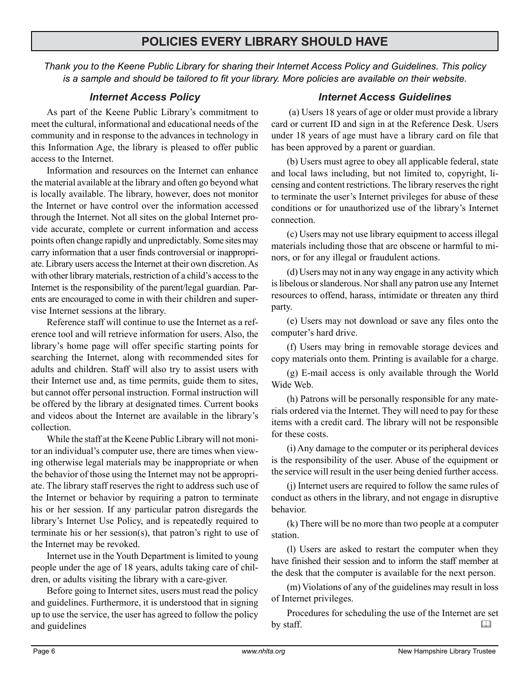## **POLICIES EVERY LIBRARY SHOULD HAVE**

*Thank you to the Keene Public Library for sharing their Internet Access Policy and Guidelines. This policy is a sample and should be tailored to fit your library. More policies are available on their website.*

#### *Internet Access Policy*

As part of the Keene Public Library's commitment to meet the cultural, informational and educational needs of the community and in response to the advances in technology in this Information Age, the library is pleased to offer public access to the Internet.

Information and resources on the Internet can enhance the material available at the library and often go beyond what is locally available. The library, however, does not monitor the Internet or have control over the information accessed through the Internet. Not all sites on the global Internet provide accurate, complete or current information and access points often change rapidly and unpredictably. Some sites may carry information that a user finds controversial or inappropriate. Library users access the Internet at their own discretion. As with other library materials, restriction of a child's access to the Internet is the responsibility of the parent/legal guardian. Parents are encouraged to come in with their children and supervise Internet sessions at the library.

Reference staff will continue to use the Internet as a reference tool and will retrieve information for users. Also, the library's home page will offer specific starting points for searching the Internet, along with recommended sites for adults and children. Staff will also try to assist users with their Internet use and, as time permits, guide them to sites, but cannot offer personal instruction. Formal instruction will be offered by the library at designated times. Current books and videos about the Internet are available in the library's collection.

While the staff at the Keene Public Library will not monitor an individual's computer use, there are times when viewing otherwise legal materials may be inappropriate or when the behavior of those using the Internet may not be appropriate. The library staff reserves the right to address such use of the Internet or behavior by requiring a patron to terminate his or her session. If any particular patron disregards the library's Internet Use Policy, and is repeatedly required to terminate his or her session(s), that patron's right to use of the Internet may be revoked.

Internet use in the Youth Department is limited to young people under the age of 18 years, adults taking care of children, or adults visiting the library with a care-giver.

Before going to Internet sites, users must read the policy and guidelines. Furthermore, it is understood that in signing up to use the service, the user has agreed to follow the policy and guidelines

#### *Internet Access Guidelines*

 (a) Users 18 years of age or older must provide a library card or current ID and sign in at the Reference Desk. Users under 18 years of age must have a library card on file that has been approved by a parent or guardian.

(b) Users must agree to obey all applicable federal, state and local laws including, but not limited to, copyright, licensing and content restrictions. The library reserves the right to terminate the user's Internet privileges for abuse of these conditions or for unauthorized use of the library's Internet connection.

(c) Users may not use library equipment to access illegal materials including those that are obscene or harmful to minors, or for any illegal or fraudulent actions.

(d) Users may not in any way engage in any activity which is libelous or slanderous. Nor shall any patron use any Internet resources to offend, harass, intimidate or threaten any third party.

(e) Users may not download or save any files onto the computer's hard drive.

(f) Users may bring in removable storage devices and copy materials onto them. Printing is available for a charge.

(g) E-mail access is only available through the World Wide Web.

(h) Patrons will be personally responsible for any materials ordered via the Internet. They will need to pay for these items with a credit card. The library will not be responsible for these costs.

(i) Any damage to the computer or its peripheral devices is the responsibility of the user. Abuse of the equipment or the service will result in the user being denied further access.

(j) Internet users are required to follow the same rules of conduct as others in the library, and not engage in disruptive behavior.

(k) There will be no more than two people at a computer station.

(l) Users are asked to restart the computer when they have finished their session and to inform the staff member at the desk that the computer is available for the next person.

(m) Violations of any of the guidelines may result in loss of Internet privileges.

Procedures for scheduling the use of the Internet are set by staff.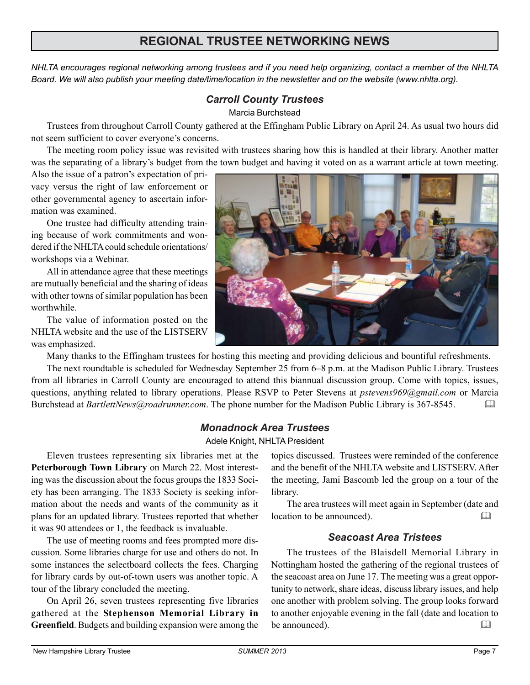## **REGIONAL TRUSTEE NETWORKING NEWS**

*NHLTA encourages regional networking among trustees and if you need help organizing, contact a member of the NHLTA Board. We will also publish your meeting date/time/location in the newsletter and on the website (www.nhlta.org).*

#### *Carroll County Trustees*

#### Marcia Burchstead

Trustees from throughout Carroll County gathered at the Effingham Public Library on April 24. As usual two hours did not seem sufficient to cover everyone's concerns.

The meeting room policy issue was revisited with trustees sharing how this is handled at their library. Another matter was the separating of a library's budget from the town budget and having it voted on as a warrant article at town meeting.

Also the issue of a patron's expectation of privacy versus the right of law enforcement or other governmental agency to ascertain information was examined.

One trustee had difficulty attending training because of work commitments and wondered if the NHLTA could schedule orientations/ workshops via a Webinar.

All in attendance agree that these meetings are mutually beneficial and the sharing of ideas with other towns of similar population has been worthwhile.

The value of information posted on the NHLTA website and the use of the LISTSERV was emphasized.



Many thanks to the Effingham trustees for hosting this meeting and providing delicious and bountiful refreshments.

The next roundtable is scheduled for Wednesday September 25 from 6–8 p.m. at the Madison Public Library. Trustees from all libraries in Carroll County are encouraged to attend this biannual discussion group. Come with topics, issues, questions, anything related to library operations. Please RSVP to Peter Stevens at *pstevens969@gmail.com* or Marcia Burchstead at *BartlettNews@roadrunner.com*. The phone number for the Madison Public Library is 367-8545. 

#### *Monadnock Area Trustees*

Adele Knight, NHLTA President

Eleven trustees representing six libraries met at the **Peterborough Town Library** on March 22. Most interesting was the discussion about the focus groups the 1833 Society has been arranging. The 1833 Society is seeking information about the needs and wants of the community as it plans for an updated library. Trustees reported that whether it was 90 attendees or 1, the feedback is invaluable.

The use of meeting rooms and fees prompted more discussion. Some libraries charge for use and others do not. In some instances the selectboard collects the fees. Charging for library cards by out-of-town users was another topic. A tour of the library concluded the meeting.

On April 26, seven trustees representing five libraries gathered at the **Stephenson Memorial Library in Greenfield**. Budgets and building expansion were among the topics discussed. Trustees were reminded of the conference and the benefit of the NHLTA website and LISTSERV. After the meeting, Jami Bascomb led the group on a tour of the library.

The area trustees will meet again in September (date and location to be announced). 

#### *Seacoast Area Tristees*

The trustees of the Blaisdell Memorial Library in Nottingham hosted the gathering of the regional trustees of the seacoast area on June 17. The meeting was a great opportunity to network, share ideas, discuss library issues, and help one another with problem solving. The group looks forward to another enjoyable evening in the fall (date and location to be announced).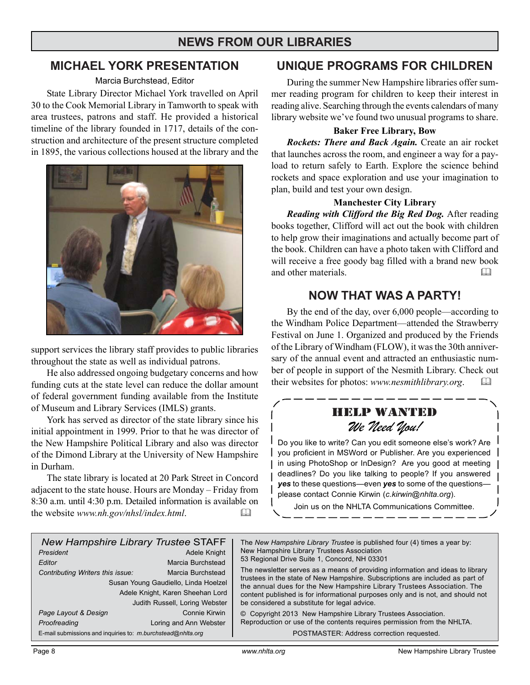## **NEWS FROM OUR LIBRARIES**

## **MICHAEL YORK PRESENTATION**

#### Marcia Burchstead, Editor

State Library Director Michael York travelled on April 30 to the Cook Memorial Library in Tamworth to speak with area trustees, patrons and staff. He provided a historical timeline of the library founded in 1717, details of the construction and architecture of the present structure completed in 1895, the various collections housed at the library and the



support services the library staff provides to public libraries throughout the state as well as individual patrons.

He also addressed ongoing budgetary concerns and how funding cuts at the state level can reduce the dollar amount of federal government funding available from the Institute of Museum and Library Services (IMLS) grants.

York has served as director of the state library since his initial appointment in 1999. Prior to that he was director of the New Hampshire Political Library and also was director of the Dimond Library at the University of New Hampshire in Durham.

The state library is located at 20 Park Street in Concord adjacent to the state house. Hours are Monday – Friday from 8:30 a.m. until 4:30 p.m. Detailed information is available on the website *www.nh.gov/nhsl/index.html*. 

### **UNIQUE PROGRAMS FOR CHILDREN**

During the summer New Hampshire libraries offer summer reading program for children to keep their interest in reading alive. Searching through the events calendars of many library website we've found two unusual programs to share.

#### **Baker Free Library, Bow**

*Rockets: There and Back Again.* Create an air rocket that launches across the room, and engineer a way for a payload to return safely to Earth. Explore the science behind rockets and space exploration and use your imagination to plan, build and test your own design.

#### **Manchester City Library**

*Reading with Clifford the Big Red Dog.* After reading books together, Clifford will act out the book with children to help grow their imaginations and actually become part of the book. Children can have a photo taken with Clifford and will receive a free goody bag filled with a brand new book and other materials.

## **NOW THAT WAS A PARTY!**

By the end of the day, over 6,000 people—according to the Windham Police Department—attended the Strawberry Festival on June 1. Organized and produced by the Friends of the Library of Windham (FLOW), it was the 30th anniversary of the annual event and attracted an enthusiastic number of people in support of the Nesmith Library. Check out their websites for photos: *www.nesmithlibrary.org*. 

## HELP WANTED *We Need You!*

Do you like to write? Can you edit someone else's work? Are you proficient in MSWord or Publisher. Are you experienced in using PhotoShop or InDesign? Are you good at meeting deadlines? Do you like talking to people? If you answered *yes* to these questions—even *yes* to some of the questions please contact Connie Kirwin (*c.kirwin@nhlta.org*).

Join us on the NHLTA Communications Committee.

| <b>New Hampshire Library Trustee STAFF</b><br>President<br>Editor<br>Contributing Writers this issue: | Adele Knight<br>Marcia Burchstead<br>Marcia Burchstead<br>Susan Young Gaudiello, Linda Hoelzel<br>Adele Knight, Karen Sheehan Lord<br>Judith Russell, Loring Webster | The New Hampshire Library Trustee is published four (4) times a year by:<br>New Hampshire Library Trustees Association<br>53 Regional Drive Suite 1, Concord, NH 03301<br>The newsletter serves as a means of providing information and ideas to library<br>trustees in the state of New Hampshire. Subscriptions are included as part of<br>the annual dues for the New Hampshire Library Trustees Association. The<br>content published is for informational purposes only and is not, and should not<br>be considered a substitute for legal advice. |
|-------------------------------------------------------------------------------------------------------|----------------------------------------------------------------------------------------------------------------------------------------------------------------------|---------------------------------------------------------------------------------------------------------------------------------------------------------------------------------------------------------------------------------------------------------------------------------------------------------------------------------------------------------------------------------------------------------------------------------------------------------------------------------------------------------------------------------------------------------|
| Page Layout & Design                                                                                  | Connie Kirwin<br>Loring and Ann Webster                                                                                                                              | © Copyright 2013 New Hampshire Library Trustees Association.<br>Reproduction or use of the contents requires permission from the NHLTA.                                                                                                                                                                                                                                                                                                                                                                                                                 |
| Proofreading<br>E-mail submissions and inquiries to: m.burchstead@nhlta.org                           |                                                                                                                                                                      | POSTMASTER: Address correction requested.                                                                                                                                                                                                                                                                                                                                                                                                                                                                                                               |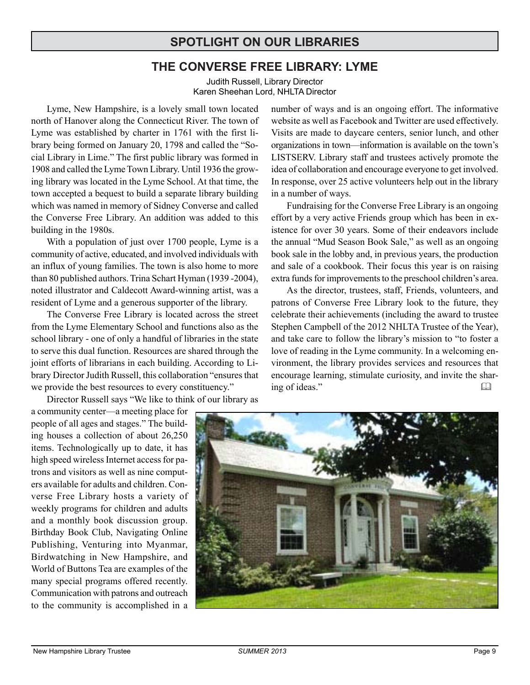## **SPOTLIGHT ON OUR LIBRARIES**

## **THE CONVERSE FREE LIBRARY: LYME**

Judith Russell, Library Director Karen Sheehan Lord, NHLTA Director

Lyme, New Hampshire, is a lovely small town located north of Hanover along the Connecticut River. The town of Lyme was established by charter in 1761 with the first library being formed on January 20, 1798 and called the "Social Library in Lime." The first public library was formed in 1908 and called the Lyme Town Library. Until 1936 the growing library was located in the Lyme School. At that time, the town accepted a bequest to build a separate library building which was named in memory of Sidney Converse and called the Converse Free Library. An addition was added to this building in the 1980s.

With a population of just over 1700 people, Lyme is a community of active, educated, and involved individuals with an influx of young families. The town is also home to more than 80 published authors. Trina Schart Hyman (1939 -2004), noted illustrator and Caldecott Award-winning artist, was a resident of Lyme and a generous supporter of the library.

The Converse Free Library is located across the street from the Lyme Elementary School and functions also as the school library - one of only a handful of libraries in the state to serve this dual function. Resources are shared through the joint efforts of librarians in each building. According to Library Director Judith Russell, this collaboration "ensures that we provide the best resources to every constituency."

Director Russell says "We like to think of our library as

number of ways and is an ongoing effort. The informative website as well as Facebook and Twitter are used effectively. Visits are made to daycare centers, senior lunch, and other organizations in town—information is available on the town's LISTSERV. Library staff and trustees actively promote the idea of collaboration and encourage everyone to get involved. In response, over 25 active volunteers help out in the library in a number of ways.

Fundraising for the Converse Free Library is an ongoing effort by a very active Friends group which has been in existence for over 30 years. Some of their endeavors include the annual "Mud Season Book Sale," as well as an ongoing book sale in the lobby and, in previous years, the production and sale of a cookbook. Their focus this year is on raising extra funds for improvements to the preschool children's area.

As the director, trustees, staff, Friends, volunteers, and patrons of Converse Free Library look to the future, they celebrate their achievements (including the award to trustee Stephen Campbell of the 2012 NHLTA Trustee of the Year), and take care to follow the library's mission to "to foster a love of reading in the Lyme community. In a welcoming environment, the library provides services and resources that encourage learning, stimulate curiosity, and invite the sharing of ideas." 

a community center—a meeting place for people of all ages and stages." The building houses a collection of about 26,250 items. Technologically up to date, it has high speed wireless Internet access for patrons and visitors as well as nine computers available for adults and children. Converse Free Library hosts a variety of weekly programs for children and adults and a monthly book discussion group. Birthday Book Club, Navigating Online Publishing, Venturing into Myanmar, Birdwatching in New Hampshire, and World of Buttons Tea are examples of the many special programs offered recently. Communication with patrons and outreach to the community is accomplished in a

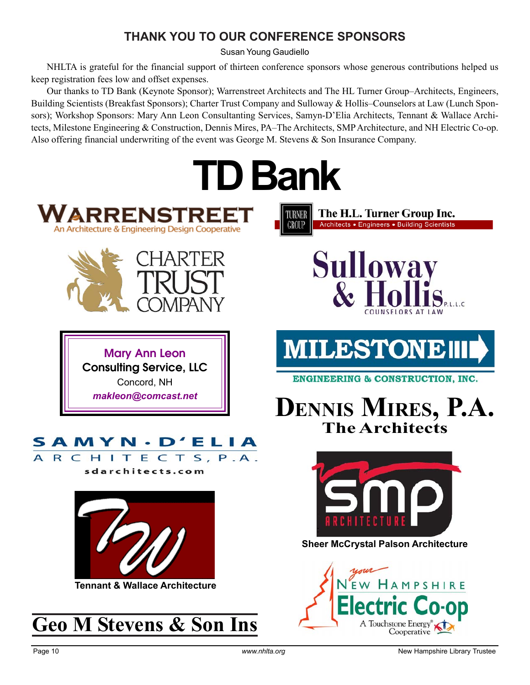## **THANK YOU TO OUR CONFERENCE SPONSORS**

Susan Young Gaudiello

NHLTA is grateful for the financial support of thirteen conference sponsors whose generous contributions helped us keep registration fees low and offset expenses.

Our thanks to TD Bank (Keynote Sponsor); Warrenstreet Architects and The HL Turner Group–Architects, Engineers, Building Scientists (Breakfast Sponsors); Charter Trust Company and Sulloway & Hollis–Counselors at Law (Lunch Sponsors); Workshop Sponsors: Mary Ann Leon Consultanting Services, Samyn-D'Elia Architects, Tennant & Wallace Architects, Milestone Engineering & Construction, Dennis Mires, PA–The Architects, SMP Architecture, and NH Electric Co-op. Also offering financial underwriting of the event was George M. Stevens & Son Insurance Company.

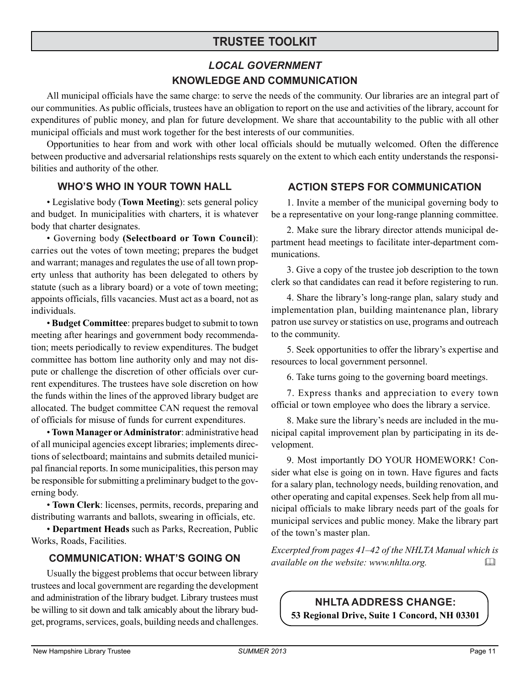## **TRUSTEE TOOLKIT**

## *LOCAL GOVERNMENT* **KNOWLEDGE AND COMMUNICATION**

All municipal officials have the same charge: to serve the needs of the community. Our libraries are an integral part of our communities. As public officials, trustees have an obligation to report on the use and activities of the library, account for expenditures of public money, and plan for future development. We share that accountability to the public with all other municipal officials and must work together for the best interests of our communities.

Opportunities to hear from and work with other local officials should be mutually welcomed. Often the difference between productive and adversarial relationships rests squarely on the extent to which each entity understands the responsibilities and authority of the other.

#### **WHO'S WHO IN YOUR TOWN HALL**

• Legislative body (**Town Meeting**): sets general policy and budget. In municipalities with charters, it is whatever body that charter designates.

• Governing body **(Selectboard or Town Council**): carries out the votes of town meeting; prepares the budget and warrant; manages and regulates the use of all town property unless that authority has been delegated to others by statute (such as a library board) or a vote of town meeting; appoints officials, fills vacancies. Must act as a board, not as individuals.

• **Budget Committee**: prepares budget to submit to town meeting after hearings and government body recommendation; meets periodically to review expenditures. The budget committee has bottom line authority only and may not dispute or challenge the discretion of other officials over current expenditures. The trustees have sole discretion on how the funds within the lines of the approved library budget are allocated. The budget committee CAN request the removal of officials for misuse of funds for current expenditures.

• **Town Manager or Administrator**: administrative head of all municipal agencies except libraries; implements directions of selectboard; maintains and submits detailed municipal financial reports. In some municipalities, this person may be responsible for submitting a preliminary budget to the governing body.

• **Town Clerk**: licenses, permits, records, preparing and distributing warrants and ballots, swearing in officials, etc.

• **Department Heads** such as Parks, Recreation, Public Works, Roads, Facilities.

#### **COMMUNICATION: WHAT'S GOING ON**

Usually the biggest problems that occur between library trustees and local government are regarding the development and administration of the library budget. Library trustees must be willing to sit down and talk amicably about the library budget, programs, services, goals, building needs and challenges.

#### **ACTION STEPS FOR COMMUNICATION**

1. Invite a member of the municipal governing body to be a representative on your long-range planning committee.

2. Make sure the library director attends municipal department head meetings to facilitate inter-department communications.

3. Give a copy of the trustee job description to the town clerk so that candidates can read it before registering to run.

4. Share the library's long-range plan, salary study and implementation plan, building maintenance plan, library patron use survey or statistics on use, programs and outreach to the community.

5. Seek opportunities to offer the library's expertise and resources to local government personnel.

6. Take turns going to the governing board meetings.

7. Express thanks and appreciation to every town official or town employee who does the library a service.

8. Make sure the library's needs are included in the municipal capital improvement plan by participating in its development.

9. Most importantly DO YOUR HOMEWORK! Consider what else is going on in town. Have figures and facts for a salary plan, technology needs, building renovation, and other operating and capital expenses. Seek help from all municipal officials to make library needs part of the goals for municipal services and public money. Make the library part of the town's master plan.

*Excerpted from pages 41–42 of the NHLTA Manual which is available on the website: www.nhlta.org.*  

**NHLTA ADDRESS CHANGE: 53 Regional Drive, Suite 1 Concord, NH 03301**